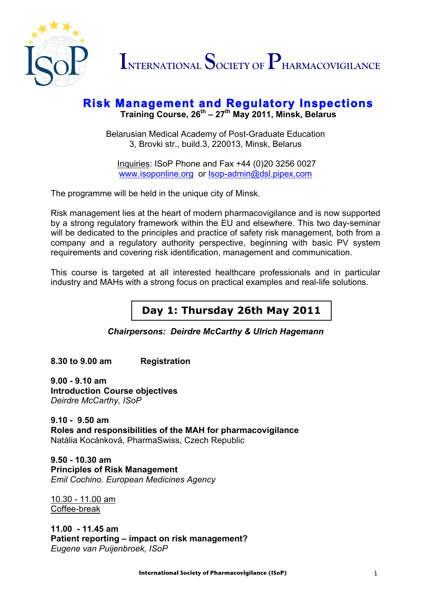

## **Risk Management and Regulatory Inspections Training Course, 26th – <sup>27</sup>th May 2011, Minsk, Belarus**

Belarusian Medical Academy of Post-Graduate Education 3, Brovki str., build.3, 220013, Minsk, Belarus

Inquiries: ISoP Phone and Fax +44 (0)20 3256 0027 www.isoponline.org or Isop-admin@dsl.pipex.com

The programme will be held in the unique city of Minsk.

Risk management lies at the heart of modern pharmacovigilance and is now supported by a strong regulatory framework within the EU and elsewhere. This two day-seminar will be dedicated to the principles and practice of safety risk management, both from a company and a regulatory authority perspective, beginning with basic PV system requirements and covering risk identification, management and communication.

This course is targeted at all interested healthcare professionals and in particular industry and MAHs with a strong focus on practical examples and real-life solutions.

## **Day 1: Thursday 26th May 2011**

*Chairpersons: Deirdre McCarthy & Ulrich Hagemann*

**8.30 to 9.00 am Registration**

**9.00 - 9.10 am Introduction Course objectives**  *Deirdre McCarthy, ISoP*

**9.10 - 9.50 am Roles and responsibilities of the MAH for pharmacovigilance** Natália Kocánková, PharmaSwiss, Czech Republic

**9.50 - 10.30 am Principles of Risk Management** *Emil Cochino. European Medicines Agency*

10.30 - 11.00 am Coffee-break

**11.00 - 11.45 am Patient reporting – impact on risk management?** *Eugene van Puijenbroek, ISoP*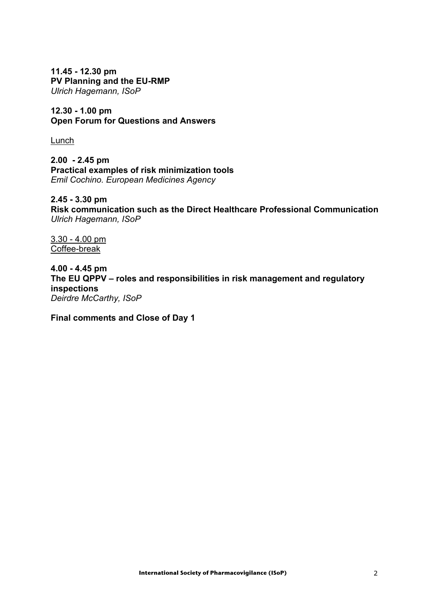**11.45 - 12.30 pm PV Planning and the EU-RMP** *Ulrich Hagemann, ISoP*

**12.30 - 1.00 pm Open Forum for Questions and Answers**

Lunch

**2.00 - 2.45 pm Practical examples of risk minimization tools**  *Emil Cochino. European Medicines Agency*

**2.45 - 3.30 pm Risk communication such as the Direct Healthcare Professional Communication**  *Ulrich Hagemann, ISoP*

3.30 - 4.00 pm Coffee-break

**4.00 - 4.45 pm The EU QPPV – roles and responsibilities in risk management and regulatory inspections** *Deirdre McCarthy, ISoP*

**Final comments and Close of Day 1**